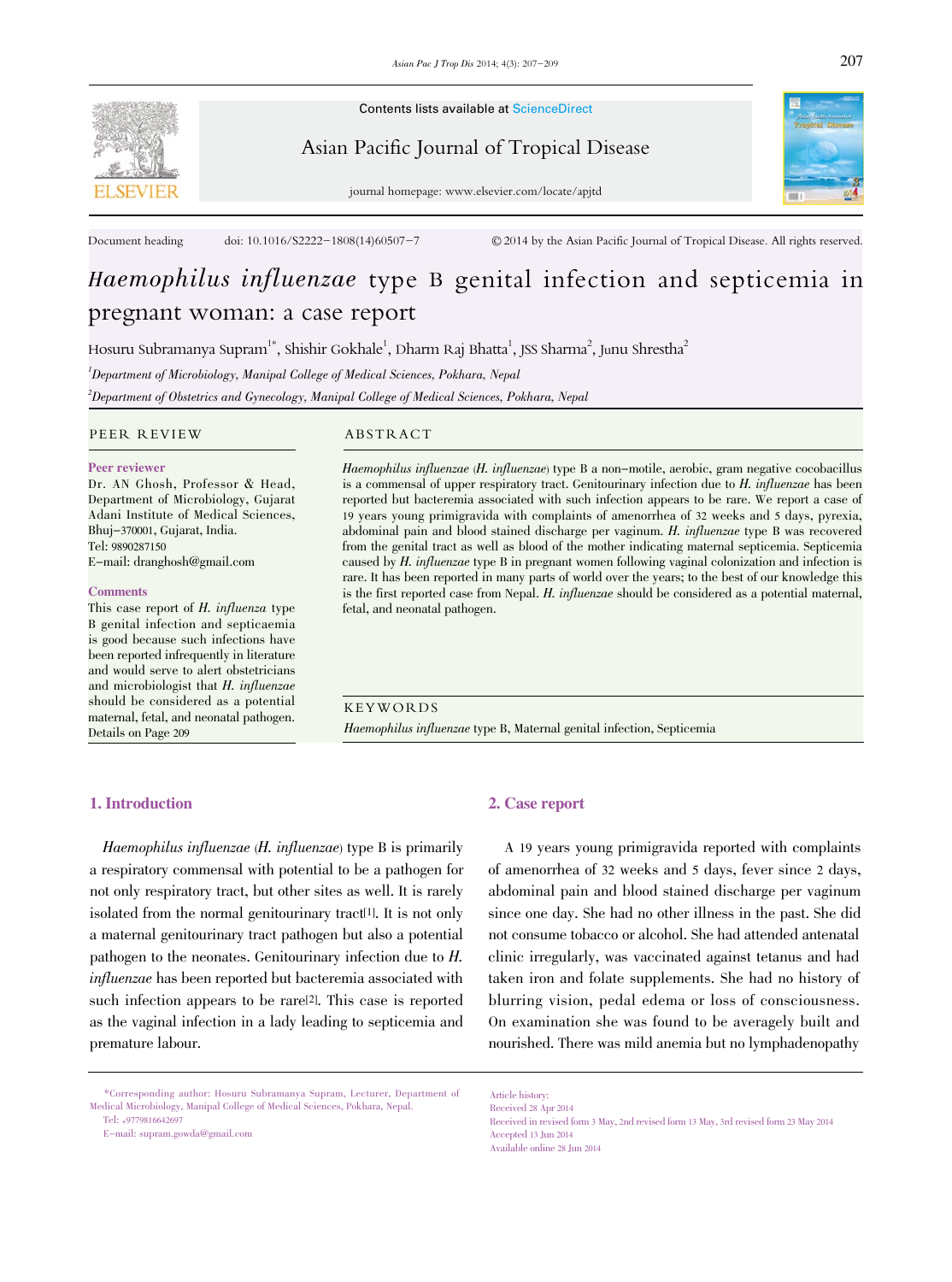

Contents lists available at ScienceDirect

Asian Pacific Journal of Tropical Disease

journal homepage: www.elsevier.com/locate/apjtd

Document heading doi: 10.1016/S2222-1808(14)60507-7 © 2014 by the Asian Pacific Journal of Tropical Disease. All rights reserved.

# Haemophilus influenzae type B genital infection and septicemia in pregnant woman: a case report

Hosuru Subramanya Supram $^{\rm 1*}$ , Shishir Gokhale $^{\rm 1}$ , Dharm Raj Bhatta $^{\rm 1}$ , JSS Sharma $^{\rm 2}$ , Junu Shrestha $^{\rm 2}$ 

 $^{\prime}$ Department of Microbiology, Manipal College of Medical Sciences, Pokhara, Nepal

 $^2$ Department of Obstetrics and Gynecology, Manipal College of Medical Sciences, Pokhara, Nepal

### PEER REVIEW ABSTRACT

## Peer reviewer

Dr. AN Ghosh, Professor & Head, Department of Microbiology, Gujarat Adani Institute of Medical Sciences, Bhuj-370001, Gujarat, India. Tel: 9890287150

E-mail: dranghosh@gmail.com

## **Comments**

This case report of H. influenza type B genital infection and septicaemia is good because such infections have been reported infrequently in literature and would serve to alert obstetricians and microbiologist that H. influenzae should be considered as a potential maternal, fetal, and neonatal pathogen. Details on Page 209

Haemophilus influenzae (H. influenzae) type B a non-motile, aerobic, gram negative cocobacillus is a commensal of upper respiratory tract. Genitourinary infection due to H. influenzae has been reported but bacteremia associated with such infection appears to be rare. We report a case of 19 years young primigravida with complaints of amenorrhea of 32 weeks and 5 days, pyrexia, abdominal pain and blood stained discharge per vaginum. H. influenzae type B was recovered from the genital tract as well as blood of the mother indicating maternal septicemia. Septicemia caused by H. influenzae type B in pregnant women following vaginal colonization and infection is rare. It has been reported in many parts of world over the years; to the best of our knowledge this is the first reported case from Nepal. H. influenzae should be considered as a potential maternal, fetal, and neonatal pathogen.

## KEYWORDS

Haemophilus influenzae type B, Maternal genital infection, Septicemia

2. Case report

## 1. Introduction

Haemophilus influenzae (H. influenzae) type B is primarily a respiratory commensal with potential to be a pathogen for not only respiratory tract, but other sites as well. It is rarely isolated from the normal genitourinary tract[1]. It is not only a maternal genitourinary tract pathogen but also a potential pathogen to the neonates. Genitourinary infection due to H. influenzae has been reported but bacteremia associated with such infection appears to be rare[2]. This case is reported as the vaginal infection in a lady leading to septicemia and premature labour.

of amenorrhea of 32 weeks and 5 days, fever since 2 days, abdominal pain and blood stained discharge per vaginum since one day. She had no other illness in the past. She did not consume tobacco or alcohol. She had attended antenatal

clinic irregularly, was vaccinated against tetanus and had taken iron and folate supplements. She had no history of blurring vision, pedal edema or loss of consciousness. On examination she was found to be averagely built and nourished. There was mild anemia but no lymphadenopathy

A 19 years young primigravida reported with complaints

E-mail: supram.gowda@gmail.com

Article history: Received 28 Apr 2014

Received in revised form 3 May, 2nd revised form 13 May, 3rd revised form 23 May 2014 Accepted 13 Jun 2014 Available online 28 Jun 2014

<sup>\*</sup>Corresponding author: Hosuru Subramanya Supram, Lecturer, Department of Medical Microbiology, Manipal College of Medical Sciences, Pokhara, Nepal. Tel: +9779816642697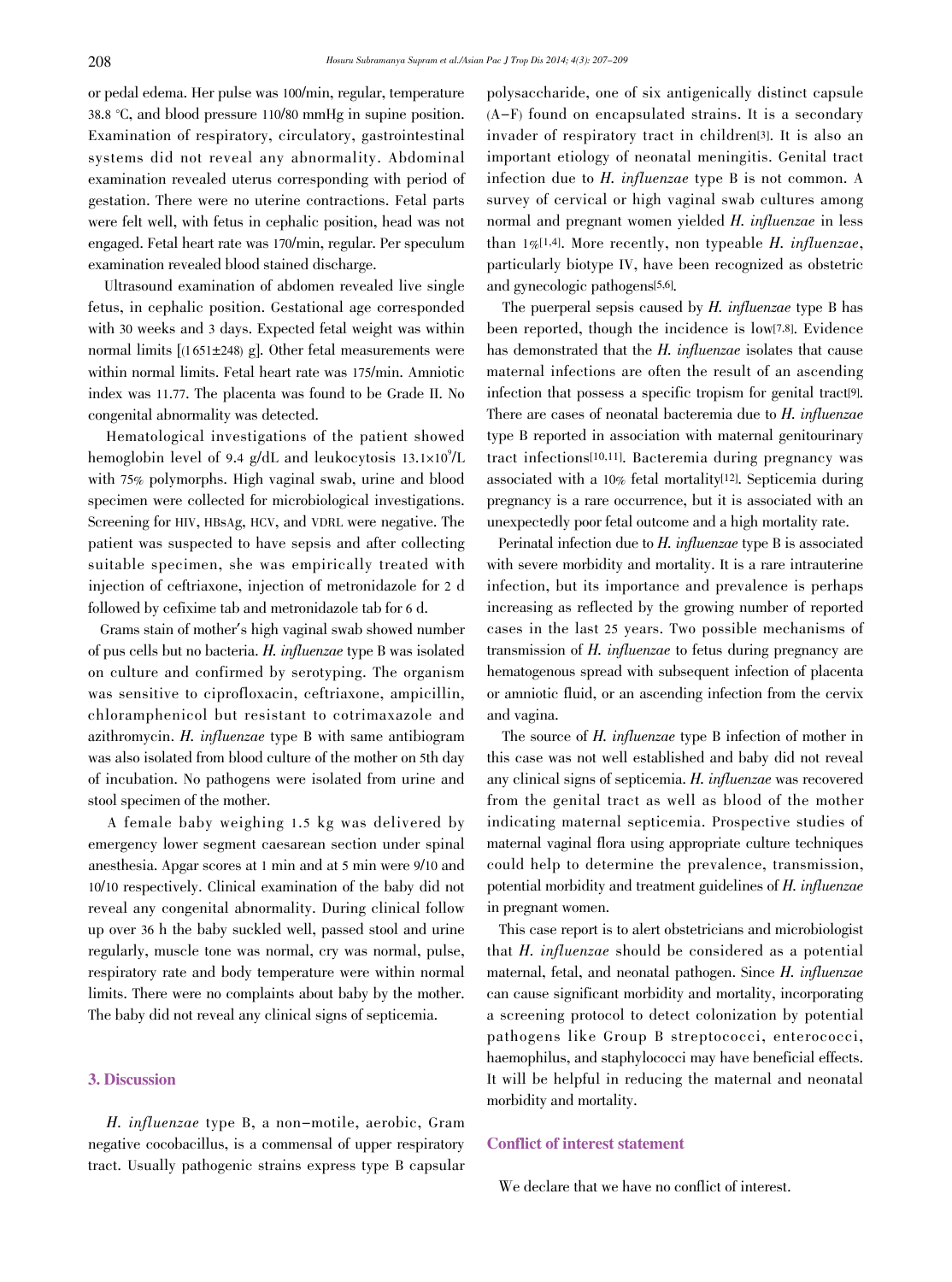or pedal edema. Her pulse was 100/min, regular, temperature 38.8 °C, and blood pressure 110/80 mmHg in supine position. Examination of respiratory, circulatory, gastrointestinal systems did not reveal any abnormality. Abdominal examination revealed uterus corresponding with period of gestation. There were no uterine contractions. Fetal parts were felt well, with fetus in cephalic position, head was not engaged. Fetal heart rate was 170/min, regular. Per speculum examination revealed blood stained discharge.

Ultrasound examination of abdomen revealed live single fetus, in cephalic position. Gestational age corresponded with 30 weeks and 3 days. Expected fetal weight was within normal limits  $(1651 \pm 248)$  g]. Other fetal measurements were within normal limits. Fetal heart rate was 175/min. Amniotic index was 11.77. The placenta was found to be Grade II. No congenital abnormality was detected.

Hematological investigations of the patient showed hemoglobin level of 9.4 g/dL and leukocytosis  $13.1\times10^{7}/L$ with 75% polymorphs. High vaginal swab, urine and blood specimen were collected for microbiological investigations. Screening for HIV, HBsAg, HCV, and VDRL were negative. The patient was suspected to have sepsis and after collecting suitable specimen, she was empirically treated with injection of ceftriaxone, injection of metronidazole for 2 d followed by cefixime tab and metronidazole tab for 6 d.

Grams stain of mother's high vaginal swab showed number of pus cells but no bacteria. H. influenzae type B was isolated on culture and confirmed by serotyping. The organism was sensitive to ciprofloxacin, ceftriaxone, ampicillin, chloramphenicol but resistant to cotrimaxazole and azithromycin. H. influenzae type B with same antibiogram was also isolated from blood culture of the mother on 5th day of incubation. No pathogens were isolated from urine and stool specimen of the mother.

A female baby weighing 1.5 kg was delivered by emergency lower segment caesarean section under spinal anesthesia. Apgar scores at 1 min and at 5 min were 9/10 and 10/10 respectively. Clinical examination of the baby did not reveal any congenital abnormality. During clinical follow up over 36 h the baby suckled well, passed stool and urine regularly, muscle tone was normal, cry was normal, pulse, respiratory rate and body temperature were within normal limits. There were no complaints about baby by the mother. The baby did not reveal any clinical signs of septicemia.

## 3. Discussion

H. influenzae type B, a non-motile, aerobic, Gram negative cocobacillus, is a commensal of upper respiratory tract. Usually pathogenic strains express type B capsular

polysaccharide, one of six antigenically distinct capsule (A-F) found on encapsulated strains. It is a secondary invader of respiratory tract in children[3]. It is also an important etiology of neonatal meningitis. Genital tract infection due to H. influenzae type B is not common. A survey of cervical or high vaginal swab cultures among normal and pregnant women yielded H. influenzae in less than  $1\%$ [1,4]. More recently, non typeable H. influenzae, particularly biotype IV, have been recognized as obstetric and gynecologic pathogens[5,6].

The puerperal sepsis caused by H. *influenzae* type B has been reported, though the incidence is low[7,8]. Evidence has demonstrated that the H. *influenzae* isolates that cause maternal infections are often the result of an ascending infection that possess a specific tropism for genital tract[9]. There are cases of neonatal bacteremia due to H. influenzae type B reported in association with maternal genitourinary tract infections[10,11]. Bacteremia during pregnancy was associated with a 10% fetal mortality[12]. Septicemia during pregnancy is a rare occurrence, but it is associated with an unexpectedly poor fetal outcome and a high mortality rate.

Perinatal infection due to H. influenzae type B is associated with severe morbidity and mortality. It is a rare intrauterine infection, but its importance and prevalence is perhaps increasing as reflected by the growing number of reported cases in the last 25 years. Two possible mechanisms of transmission of H. influenzae to fetus during pregnancy are hematogenous spread with subsequent infection of placenta or amniotic fluid, or an ascending infection from the cervix and vagina.

The source of H. *influenzae* type B infection of mother in this case was not well established and baby did not reveal any clinical signs of septicemia. H. influenzae was recovered from the genital tract as well as blood of the mother indicating maternal septicemia. Prospective studies of maternal vaginal flora using appropriate culture techniques could help to determine the prevalence, transmission, potential morbidity and treatment guidelines of H. influenzae in pregnant women.

This case report is to alert obstetricians and microbiologist that H. influenzae should be considered as a potential maternal, fetal, and neonatal pathogen. Since H. influenzae can cause significant morbidity and mortality, incorporating a screening protocol to detect colonization by potential pathogens like Group B streptococci, enterococci, haemophilus, and staphylococci may have beneficial effects. It will be helpful in reducing the maternal and neonatal morbidity and mortality.

## Conflict of interest statement

We declare that we have no conflict of interest.